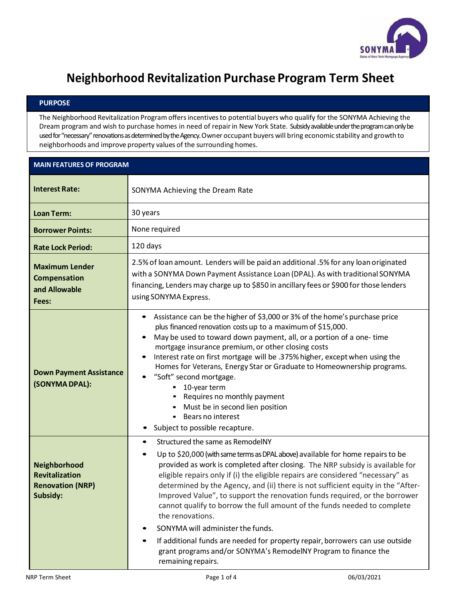

## **Neighborhood Revitalization Purchase Program Term Sheet**

## **PURPOSE**

The Neighborhood Revitalization Program offers incentives to potential buyers who qualify for the SONYMA Achieving the Dream program and wish to purchase homes in need of repair in New York State. Subsidy available under the program can only be used for "necessary" renovations as determined by the Agency. Owner occupant buyers will bring economic stability and growth to neighborhoods and improve property values of the surrounding homes.

|                                                                              | <b>MAIN FEATURES OF PROGRAM</b>                                                                                                                                                                                                                                                                                                                                                                                                                                                                                                                                                                                                                                                                                                                                                                                              |  |  |
|------------------------------------------------------------------------------|------------------------------------------------------------------------------------------------------------------------------------------------------------------------------------------------------------------------------------------------------------------------------------------------------------------------------------------------------------------------------------------------------------------------------------------------------------------------------------------------------------------------------------------------------------------------------------------------------------------------------------------------------------------------------------------------------------------------------------------------------------------------------------------------------------------------------|--|--|
| <b>Interest Rate:</b>                                                        | SONYMA Achieving the Dream Rate                                                                                                                                                                                                                                                                                                                                                                                                                                                                                                                                                                                                                                                                                                                                                                                              |  |  |
| <b>Loan Term:</b>                                                            | 30 years                                                                                                                                                                                                                                                                                                                                                                                                                                                                                                                                                                                                                                                                                                                                                                                                                     |  |  |
| <b>Borrower Points:</b>                                                      | None required                                                                                                                                                                                                                                                                                                                                                                                                                                                                                                                                                                                                                                                                                                                                                                                                                |  |  |
| <b>Rate Lock Period:</b>                                                     | 120 days                                                                                                                                                                                                                                                                                                                                                                                                                                                                                                                                                                                                                                                                                                                                                                                                                     |  |  |
| <b>Maximum Lender</b><br>Compensation<br>and Allowable<br>Fees:              | 2.5% of loan amount. Lenders will be paid an additional .5% for any loan originated<br>with a SONYMA Down Payment Assistance Loan (DPAL). As with traditional SONYMA<br>financing, Lenders may charge up to \$850 in ancillary fees or \$900 for those lenders<br>using SONYMA Express.                                                                                                                                                                                                                                                                                                                                                                                                                                                                                                                                      |  |  |
| <b>Down Payment Assistance</b><br>(SONYMA DPAL):                             | Assistance can be the higher of \$3,000 or 3% of the home's purchase price<br>$\bullet$<br>plus financed renovation costs up to a maximum of \$15,000.<br>May be used to toward down payment, all, or a portion of a one-time<br>$\bullet$<br>mortgage insurance premium, or other closing costs<br>Interest rate on first mortgage will be .375% higher, except when using the<br>Homes for Veterans, Energy Star or Graduate to Homeownership programs.<br>"Soft" second mortgage.<br>■ 10-year term<br>- Requires no monthly payment<br>- Must be in second lien position<br>Bears no interest<br>Subject to possible recapture.                                                                                                                                                                                          |  |  |
| Neighborhood<br><b>Revitalization</b><br><b>Renovation (NRP)</b><br>Subsidy: | Structured the same as RemodelNY<br>$\bullet$<br>Up to \$20,000 (with same terms as DPAL above) available for home repairs to be<br>$\bullet$<br>provided as work is completed after closing. The NRP subsidy is available for<br>eligible repairs only if (i) the eligible repairs are considered "necessary" as<br>determined by the Agency, and (ii) there is not sufficient equity in the "After-<br>Improved Value", to support the renovation funds required, or the borrower<br>cannot qualify to borrow the full amount of the funds needed to complete<br>the renovations.<br>SONYMA will administer the funds.<br>$\bullet$<br>If additional funds are needed for property repair, borrowers can use outside<br>$\bullet$<br>grant programs and/or SONYMA's RemodelNY Program to finance the<br>remaining repairs. |  |  |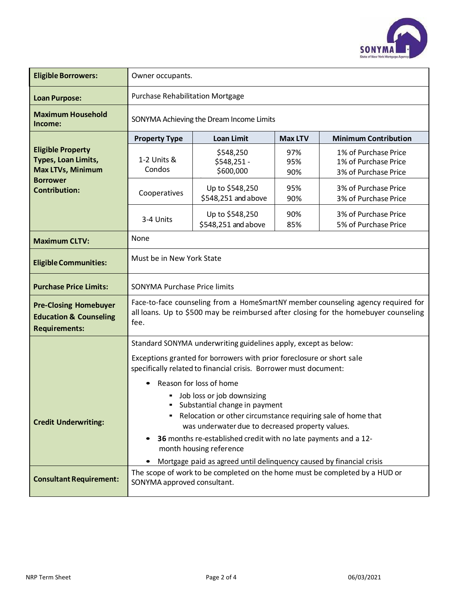

| <b>Eligible Borrowers:</b>                                                                | Owner occupants.                                                                                                                                                                    |                                        |                   |                                                                             |  |
|-------------------------------------------------------------------------------------------|-------------------------------------------------------------------------------------------------------------------------------------------------------------------------------------|----------------------------------------|-------------------|-----------------------------------------------------------------------------|--|
| <b>Loan Purpose:</b>                                                                      | <b>Purchase Rehabilitation Mortgage</b>                                                                                                                                             |                                        |                   |                                                                             |  |
| <b>Maximum Household</b><br>Income:                                                       | SONYMA Achieving the Dream Income Limits                                                                                                                                            |                                        |                   |                                                                             |  |
|                                                                                           | <b>Property Type</b>                                                                                                                                                                | <b>Loan Limit</b>                      | <b>Max LTV</b>    | <b>Minimum Contribution</b>                                                 |  |
| <b>Eligible Property</b><br>Types, Loan Limits,<br><b>Max LTVs, Minimum</b>               | 1-2 Units &<br>Condos                                                                                                                                                               | \$548,250<br>\$548,251 -<br>\$600,000  | 97%<br>95%<br>90% | 1% of Purchase Price<br>1% of Purchase Price<br>3% of Purchase Price        |  |
| <b>Borrower</b><br><b>Contribution:</b>                                                   | Cooperatives                                                                                                                                                                        | Up to \$548,250<br>\$548,251 and above | 95%<br>90%        | 3% of Purchase Price<br>3% of Purchase Price                                |  |
|                                                                                           | 3-4 Units                                                                                                                                                                           | Up to \$548,250<br>\$548,251 and above | 90%<br>85%        | 3% of Purchase Price<br>5% of Purchase Price                                |  |
| <b>Maximum CLTV:</b>                                                                      | None                                                                                                                                                                                |                                        |                   |                                                                             |  |
| <b>Eligible Communities:</b>                                                              | Must be in New York State                                                                                                                                                           |                                        |                   |                                                                             |  |
| <b>Purchase Price Limits:</b>                                                             | <b>SONYMA Purchase Price limits</b>                                                                                                                                                 |                                        |                   |                                                                             |  |
| <b>Pre-Closing Homebuyer</b><br><b>Education &amp; Counseling</b><br><b>Requirements:</b> | Face-to-face counseling from a HomeSmartNY member counseling agency required for<br>all loans. Up to \$500 may be reimbursed after closing for the homebuyer counseling<br>fee.     |                                        |                   |                                                                             |  |
|                                                                                           | Standard SONYMA underwriting guidelines apply, except as below:                                                                                                                     |                                        |                   |                                                                             |  |
|                                                                                           | Exceptions granted for borrowers with prior foreclosure or short sale<br>specifically related to financial crisis. Borrower must document:                                          |                                        |                   |                                                                             |  |
|                                                                                           | Reason for loss of home                                                                                                                                                             |                                        |                   |                                                                             |  |
| <b>Credit Underwriting:</b>                                                               | Job loss or job downsizing<br>" Substantial change in payment<br>- Relocation or other circumstance requiring sale of home that<br>was underwater due to decreased property values. |                                        |                   |                                                                             |  |
|                                                                                           | 36 months re-established credit with no late payments and a 12-<br>month housing reference<br>Mortgage paid as agreed until delinquency caused by financial crisis                  |                                        |                   |                                                                             |  |
| <b>Consultant Requirement:</b>                                                            | SONYMA approved consultant.                                                                                                                                                         |                                        |                   | The scope of work to be completed on the home must be completed by a HUD or |  |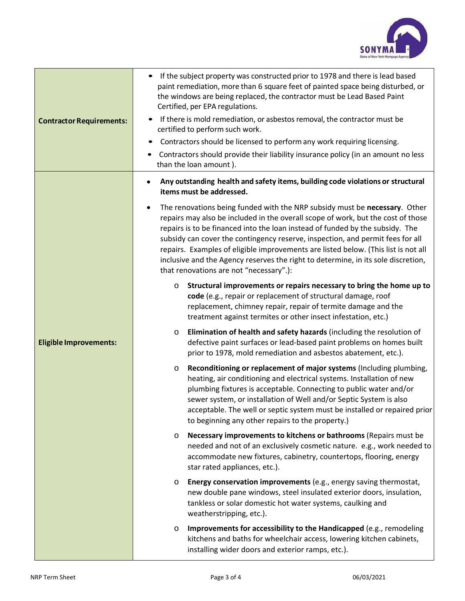

| <b>Contractor Requirements:</b> | If the subject property was constructed prior to 1978 and there is lead based<br>paint remediation, more than 6 square feet of painted space being disturbed, or<br>the windows are being replaced, the contractor must be Lead Based Paint<br>Certified, per EPA regulations.<br>If there is mold remediation, or asbestos removal, the contractor must be<br>certified to perform such work.<br>Contractors should be licensed to perform any work requiring licensing.<br>Contractors should provide their liability insurance policy (in an amount no less<br>than the loan amount). |  |  |  |
|---------------------------------|------------------------------------------------------------------------------------------------------------------------------------------------------------------------------------------------------------------------------------------------------------------------------------------------------------------------------------------------------------------------------------------------------------------------------------------------------------------------------------------------------------------------------------------------------------------------------------------|--|--|--|
| <b>Eligible Improvements:</b>   | Any outstanding health and safety items, building code violations or structural<br>items must be addressed.                                                                                                                                                                                                                                                                                                                                                                                                                                                                              |  |  |  |
|                                 | The renovations being funded with the NRP subsidy must be necessary. Other<br>٠<br>repairs may also be included in the overall scope of work, but the cost of those<br>repairs is to be financed into the loan instead of funded by the subsidy. The<br>subsidy can cover the contingency reserve, inspection, and permit fees for all<br>repairs. Examples of eligible improvements are listed below. (This list is not all<br>inclusive and the Agency reserves the right to determine, in its sole discretion,<br>that renovations are not "necessary".):                             |  |  |  |
|                                 | Structural improvements or repairs necessary to bring the home up to<br>O<br>code (e.g., repair or replacement of structural damage, roof<br>replacement, chimney repair, repair of termite damage and the<br>treatment against termites or other insect infestation, etc.)                                                                                                                                                                                                                                                                                                              |  |  |  |
|                                 | Elimination of health and safety hazards (including the resolution of<br>$\circ$<br>defective paint surfaces or lead-based paint problems on homes built<br>prior to 1978, mold remediation and asbestos abatement, etc.).                                                                                                                                                                                                                                                                                                                                                               |  |  |  |
|                                 | Reconditioning or replacement of major systems (Including plumbing,<br>O<br>heating, air conditioning and electrical systems. Installation of new<br>plumbing fixtures is acceptable. Connecting to public water and/or<br>sewer system, or installation of Well and/or Septic System is also<br>acceptable. The well or septic system must be installed or repaired prior<br>to beginning any other repairs to the property.)                                                                                                                                                           |  |  |  |
|                                 | Necessary improvements to kitchens or bathrooms (Repairs must be<br>$\circ$<br>needed and not of an exclusively cosmetic nature. e.g., work needed to<br>accommodate new fixtures, cabinetry, countertops, flooring, energy<br>star rated appliances, etc.).                                                                                                                                                                                                                                                                                                                             |  |  |  |
|                                 | Energy conservation improvements (e.g., energy saving thermostat,<br>O<br>new double pane windows, steel insulated exterior doors, insulation,<br>tankless or solar domestic hot water systems, caulking and<br>weatherstripping, etc.).                                                                                                                                                                                                                                                                                                                                                 |  |  |  |
|                                 | Improvements for accessibility to the Handicapped (e.g., remodeling<br>$\circ$<br>kitchens and baths for wheelchair access, lowering kitchen cabinets,<br>installing wider doors and exterior ramps, etc.).                                                                                                                                                                                                                                                                                                                                                                              |  |  |  |